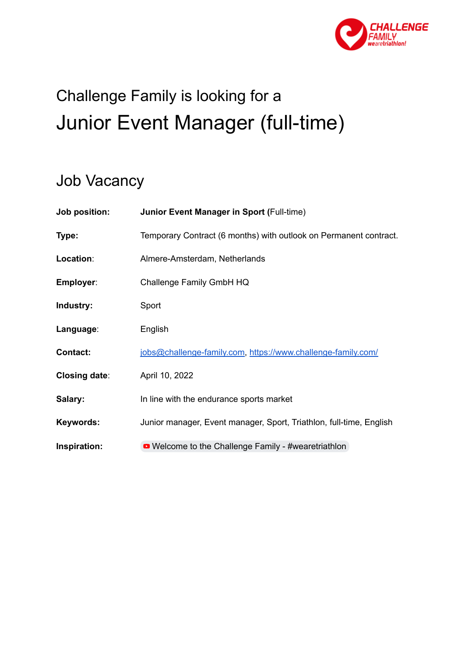

# Challenge Family is looking for a Junior Event Manager (full-time)

# Job Vacancy

| Job position:        | <b>Junior Event Manager in Sport (Full-time)</b>                    |
|----------------------|---------------------------------------------------------------------|
| Type:                | Temporary Contract (6 months) with outlook on Permanent contract.   |
| Location:            | Almere-Amsterdam, Netherlands                                       |
| Employer:            | Challenge Family GmbH HQ                                            |
| Industry:            | Sport                                                               |
| Language:            | English                                                             |
| <b>Contact:</b>      | jobs@challenge-family.com, https://www.challenge-family.com/        |
| <b>Closing date:</b> | April 10, 2022                                                      |
| Salary:              | In line with the endurance sports market                            |
| Keywords:            | Junior manager, Event manager, Sport, Triathlon, full-time, English |
| Inspiration:         | • Welcome to the Challenge Family - #wearetriathlon                 |